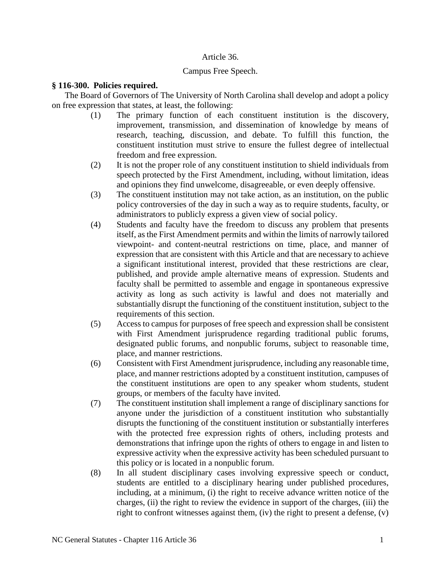## Article 36.

### Campus Free Speech.

### **§ 116-300. Policies required.**

The Board of Governors of The University of North Carolina shall develop and adopt a policy on free expression that states, at least, the following:

- (1) The primary function of each constituent institution is the discovery, improvement, transmission, and dissemination of knowledge by means of research, teaching, discussion, and debate. To fulfill this function, the constituent institution must strive to ensure the fullest degree of intellectual freedom and free expression.
- (2) It is not the proper role of any constituent institution to shield individuals from speech protected by the First Amendment, including, without limitation, ideas and opinions they find unwelcome, disagreeable, or even deeply offensive.
- (3) The constituent institution may not take action, as an institution, on the public policy controversies of the day in such a way as to require students, faculty, or administrators to publicly express a given view of social policy.
- (4) Students and faculty have the freedom to discuss any problem that presents itself, as the First Amendment permits and within the limits of narrowly tailored viewpoint- and content-neutral restrictions on time, place, and manner of expression that are consistent with this Article and that are necessary to achieve a significant institutional interest, provided that these restrictions are clear, published, and provide ample alternative means of expression. Students and faculty shall be permitted to assemble and engage in spontaneous expressive activity as long as such activity is lawful and does not materially and substantially disrupt the functioning of the constituent institution, subject to the requirements of this section.
- (5) Access to campus for purposes of free speech and expression shall be consistent with First Amendment jurisprudence regarding traditional public forums, designated public forums, and nonpublic forums, subject to reasonable time, place, and manner restrictions.
- (6) Consistent with First Amendment jurisprudence, including any reasonable time, place, and manner restrictions adopted by a constituent institution, campuses of the constituent institutions are open to any speaker whom students, student groups, or members of the faculty have invited.
- (7) The constituent institution shall implement a range of disciplinary sanctions for anyone under the jurisdiction of a constituent institution who substantially disrupts the functioning of the constituent institution or substantially interferes with the protected free expression rights of others, including protests and demonstrations that infringe upon the rights of others to engage in and listen to expressive activity when the expressive activity has been scheduled pursuant to this policy or is located in a nonpublic forum.
- (8) In all student disciplinary cases involving expressive speech or conduct, students are entitled to a disciplinary hearing under published procedures, including, at a minimum, (i) the right to receive advance written notice of the charges, (ii) the right to review the evidence in support of the charges, (iii) the right to confront witnesses against them, (iv) the right to present a defense, (v)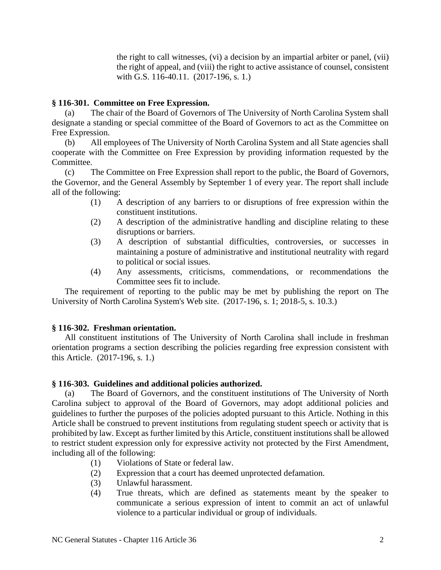the right to call witnesses, (vi) a decision by an impartial arbiter or panel, (vii) the right of appeal, and (viii) the right to active assistance of counsel, consistent with G.S. 116-40.11. (2017-196, s. 1.)

# **§ 116-301. Committee on Free Expression.**

(a) The chair of the Board of Governors of The University of North Carolina System shall designate a standing or special committee of the Board of Governors to act as the Committee on Free Expression.

(b) All employees of The University of North Carolina System and all State agencies shall cooperate with the Committee on Free Expression by providing information requested by the Committee.

(c) The Committee on Free Expression shall report to the public, the Board of Governors, the Governor, and the General Assembly by September 1 of every year. The report shall include all of the following:

- (1) A description of any barriers to or disruptions of free expression within the constituent institutions.
- (2) A description of the administrative handling and discipline relating to these disruptions or barriers.
- (3) A description of substantial difficulties, controversies, or successes in maintaining a posture of administrative and institutional neutrality with regard to political or social issues.
- (4) Any assessments, criticisms, commendations, or recommendations the Committee sees fit to include.

The requirement of reporting to the public may be met by publishing the report on The University of North Carolina System's Web site. (2017-196, s. 1; 2018-5, s. 10.3.)

## **§ 116-302. Freshman orientation.**

All constituent institutions of The University of North Carolina shall include in freshman orientation programs a section describing the policies regarding free expression consistent with this Article. (2017-196, s. 1.)

## **§ 116-303. Guidelines and additional policies authorized.**

(a) The Board of Governors, and the constituent institutions of The University of North Carolina subject to approval of the Board of Governors, may adopt additional policies and guidelines to further the purposes of the policies adopted pursuant to this Article. Nothing in this Article shall be construed to prevent institutions from regulating student speech or activity that is prohibited by law. Except as further limited by this Article, constituent institutions shall be allowed to restrict student expression only for expressive activity not protected by the First Amendment, including all of the following:

- (1) Violations of State or federal law.
- (2) Expression that a court has deemed unprotected defamation.
- (3) Unlawful harassment.
- (4) True threats, which are defined as statements meant by the speaker to communicate a serious expression of intent to commit an act of unlawful violence to a particular individual or group of individuals.